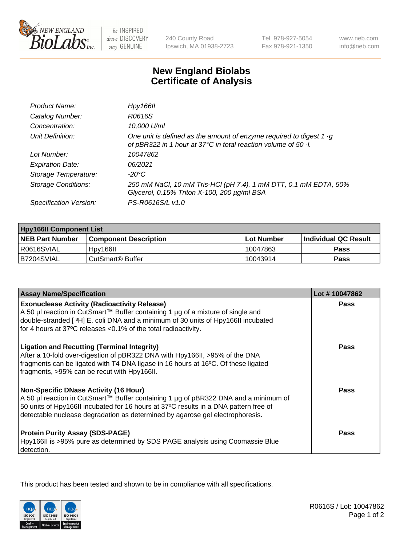

 $be$  INSPIRED drive DISCOVERY stay GENUINE

240 County Road Ipswich, MA 01938-2723 Tel 978-927-5054 Fax 978-921-1350

www.neb.com info@neb.com

## **New England Biolabs Certificate of Analysis**

| Hpy166II                                                                                                                                      |
|-----------------------------------------------------------------------------------------------------------------------------------------------|
| R0616S                                                                                                                                        |
| 10,000 U/ml                                                                                                                                   |
| One unit is defined as the amount of enzyme required to digest 1 $\cdot$ g<br>of pBR322 in 1 hour at 37°C in total reaction volume of 50 · l. |
| 10047862                                                                                                                                      |
| 06/2021                                                                                                                                       |
| $-20^{\circ}$ C                                                                                                                               |
| 250 mM NaCl, 10 mM Tris-HCl (pH 7.4), 1 mM DTT, 0.1 mM EDTA, 50%<br>Glycerol, 0.15% Triton X-100, 200 µg/ml BSA                               |
| PS-R0616S/L v1.0                                                                                                                              |
|                                                                                                                                               |

| <b>Hpy166II Component List</b> |                              |                   |                             |  |
|--------------------------------|------------------------------|-------------------|-----------------------------|--|
| <b>NEB Part Number</b>         | <b>Component Description</b> | <b>Lot Number</b> | <b>Individual QC Result</b> |  |
| I R0616SVIAL                   | Hpy166II                     | 10047863          | <b>Pass</b>                 |  |
| B7204SVIAL                     | l CutSmart® Buffer           | 10043914          | Pass                        |  |

| <b>Assay Name/Specification</b>                                                                                                                                                                                                                                                                              | Lot #10047862 |
|--------------------------------------------------------------------------------------------------------------------------------------------------------------------------------------------------------------------------------------------------------------------------------------------------------------|---------------|
| <b>Exonuclease Activity (Radioactivity Release)</b><br>A 50 µl reaction in CutSmart™ Buffer containing 1 µg of a mixture of single and                                                                                                                                                                       | Pass          |
| double-stranded [3H] E. coli DNA and a minimum of 30 units of Hpy166II incubated<br>for 4 hours at 37°C releases <0.1% of the total radioactivity.                                                                                                                                                           |               |
| <b>Ligation and Recutting (Terminal Integrity)</b><br>After a 10-fold over-digestion of pBR322 DNA with Hpy166II, >95% of the DNA<br>fragments can be ligated with T4 DNA ligase in 16 hours at 16°C. Of these ligated<br>fragments, >95% can be recut with Hpy166II.                                        | <b>Pass</b>   |
| <b>Non-Specific DNase Activity (16 Hour)</b><br>A 50 µl reaction in CutSmart™ Buffer containing 1 µg of pBR322 DNA and a minimum of<br>50 units of Hpy166II incubated for 16 hours at 37°C results in a DNA pattern free of<br>detectable nuclease degradation as determined by agarose gel electrophoresis. | Pass          |
| <b>Protein Purity Assay (SDS-PAGE)</b><br>Hpy166II is >95% pure as determined by SDS PAGE analysis using Coomassie Blue<br>detection.                                                                                                                                                                        | <b>Pass</b>   |

This product has been tested and shown to be in compliance with all specifications.